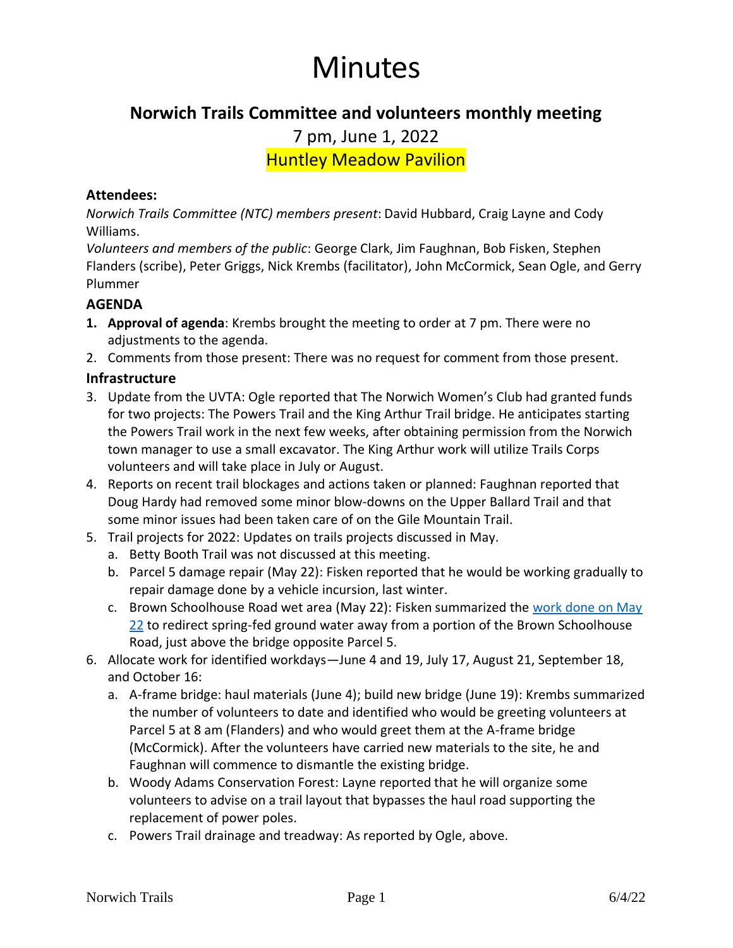# Minutes

# **Norwich Trails Committee and volunteers monthly meeting**

7 pm, June 1, 2022

Huntley Meadow Pavilion

#### **Attendees:**

*Norwich Trails Committee (NTC) members present*: David Hubbard, Craig Layne and Cody Williams.

*Volunteers and members of the public*: George Clark, Jim Faughnan, Bob Fisken, Stephen Flanders (scribe), Peter Griggs, Nick Krembs (facilitator), John McCormick, Sean Ogle, and Gerry Plummer

#### **AGENDA**

- **1. Approval of agenda**: Krembs brought the meeting to order at 7 pm. There were no adjustments to the agenda.
- 2. Comments from those present: There was no request for comment from those present.

# **Infrastructure**

- 3. Update from the UVTA: Ogle reported that The Norwich Women's Club had granted funds for two projects: The Powers Trail and the King Arthur Trail bridge. He anticipates starting the Powers Trail work in the next few weeks, after obtaining permission from the Norwich town manager to use a small excavator. The King Arthur work will utilize Trails Corps volunteers and will take place in July or August.
- 4. Reports on recent trail blockages and actions taken or planned: Faughnan reported that Doug Hardy had removed some minor blow-downs on the Upper Ballard Trail and that some minor issues had been taken care of on the Gile Mountain Trail.
- 5. Trail projects for 2022: Updates on trails projects discussed in May.
	- a. Betty Booth Trail was not discussed at this meeting.
	- b. Parcel 5 damage repair (May 22): Fisken reported that he would be working gradually to repair damage done by a vehicle incursion, last winter.
	- c. Brown Schoolhouse Road wet area (May 22): Fisken summarized the [work done on May](https://norwichtrails.org/work-day-may-22-culvert-your-tracks/)  [22](https://norwichtrails.org/work-day-may-22-culvert-your-tracks/) to redirect spring-fed ground water away from a portion of the Brown Schoolhouse Road, just above the bridge opposite Parcel 5.
- 6. Allocate work for identified workdays—June 4 and 19, July 17, August 21, September 18, and October 16:
	- a. A-frame bridge: haul materials (June 4); build new bridge (June 19): Krembs summarized the number of volunteers to date and identified who would be greeting volunteers at Parcel 5 at 8 am (Flanders) and who would greet them at the A-frame bridge (McCormick). After the volunteers have carried new materials to the site, he and Faughnan will commence to dismantle the existing bridge.
	- b. Woody Adams Conservation Forest: Layne reported that he will organize some volunteers to advise on a trail layout that bypasses the haul road supporting the replacement of power poles.
	- c. Powers Trail drainage and treadway: As reported by Ogle, above.